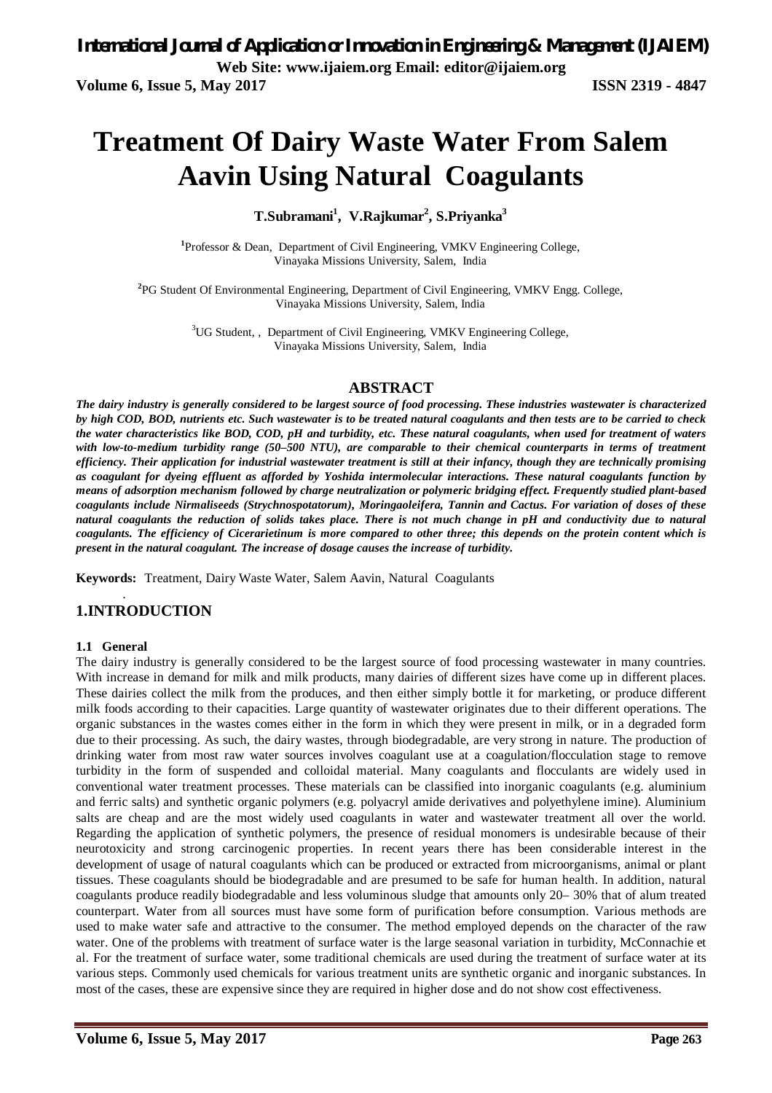# **Treatment Of Dairy Waste Water From Salem Aavin Using Natural Coagulants**

**T.Subramani<sup>1</sup> , V.Rajkumar<sup>2</sup> , S.Priyanka<sup>3</sup>**

<sup>1</sup>Professor & Dean, Department of Civil Engineering, VMKV Engineering College, Vinayaka Missions University, Salem, India

**2** PG Student Of Environmental Engineering, Department of Civil Engineering, VMKV Engg. College, Vinayaka Missions University, Salem, India

> <sup>3</sup>UG Student, , Department of Civil Engineering, VMKV Engineering College, Vinayaka Missions University, Salem, India

### **ABSTRACT**

*The dairy industry is generally considered to be largest source of food processing. These industries wastewater is characterized by high COD, BOD, nutrients etc. Such wastewater is to be treated natural coagulants and then tests are to be carried to check the water characteristics like BOD, COD, pH and turbidity, etc. These natural coagulants, when used for treatment of waters*  with low-to-medium turbidity range (50–500 NTU), are comparable to their chemical counterparts in terms of treatment *efficiency. Their application for industrial wastewater treatment is still at their infancy, though they are technically promising as coagulant for dyeing effluent as afforded by Yoshida intermolecular interactions. These natural coagulants function by means of adsorption mechanism followed by charge neutralization or polymeric bridging effect. Frequently studied plant-based coagulants include Nirmaliseeds (Strychnospotatorum), Moringaoleifera, Tannin and Cactus. For variation of doses of these natural coagulants the reduction of solids takes place. There is not much change in pH and conductivity due to natural coagulants. The efficiency of Cicerarietinum is more compared to other three; this depends on the protein content which is present in the natural coagulant. The increase of dosage causes the increase of turbidity.*

**Keywords:** Treatment, Dairy Waste Water, Salem Aavin, Natural Coagulants

#### . **1.INTRODUCTION**

#### **1.1 General**

The dairy industry is generally considered to be the largest source of food processing wastewater in many countries. With increase in demand for milk and milk products, many dairies of different sizes have come up in different places. These dairies collect the milk from the produces, and then either simply bottle it for marketing, or produce different milk foods according to their capacities. Large quantity of wastewater originates due to their different operations. The organic substances in the wastes comes either in the form in which they were present in milk, or in a degraded form due to their processing. As such, the dairy wastes, through biodegradable, are very strong in nature. The production of drinking water from most raw water sources involves coagulant use at a coagulation/flocculation stage to remove turbidity in the form of suspended and colloidal material. Many coagulants and flocculants are widely used in conventional water treatment processes. These materials can be classified into inorganic coagulants (e.g. aluminium and ferric salts) and synthetic organic polymers (e.g. polyacryl amide derivatives and polyethylene imine). Aluminium salts are cheap and are the most widely used coagulants in water and wastewater treatment all over the world. Regarding the application of synthetic polymers, the presence of residual monomers is undesirable because of their neurotoxicity and strong carcinogenic properties. In recent years there has been considerable interest in the development of usage of natural coagulants which can be produced or extracted from microorganisms, animal or plant tissues. These coagulants should be biodegradable and are presumed to be safe for human health. In addition, natural coagulants produce readily biodegradable and less voluminous sludge that amounts only 20– 30% that of alum treated counterpart. Water from all sources must have some form of purification before consumption. Various methods are used to make water safe and attractive to the consumer. The method employed depends on the character of the raw water. One of the problems with treatment of surface water is the large seasonal variation in turbidity, McConnachie et al. For the treatment of surface water, some traditional chemicals are used during the treatment of surface water at its various steps. Commonly used chemicals for various treatment units are synthetic organic and inorganic substances. In most of the cases, these are expensive since they are required in higher dose and do not show cost effectiveness.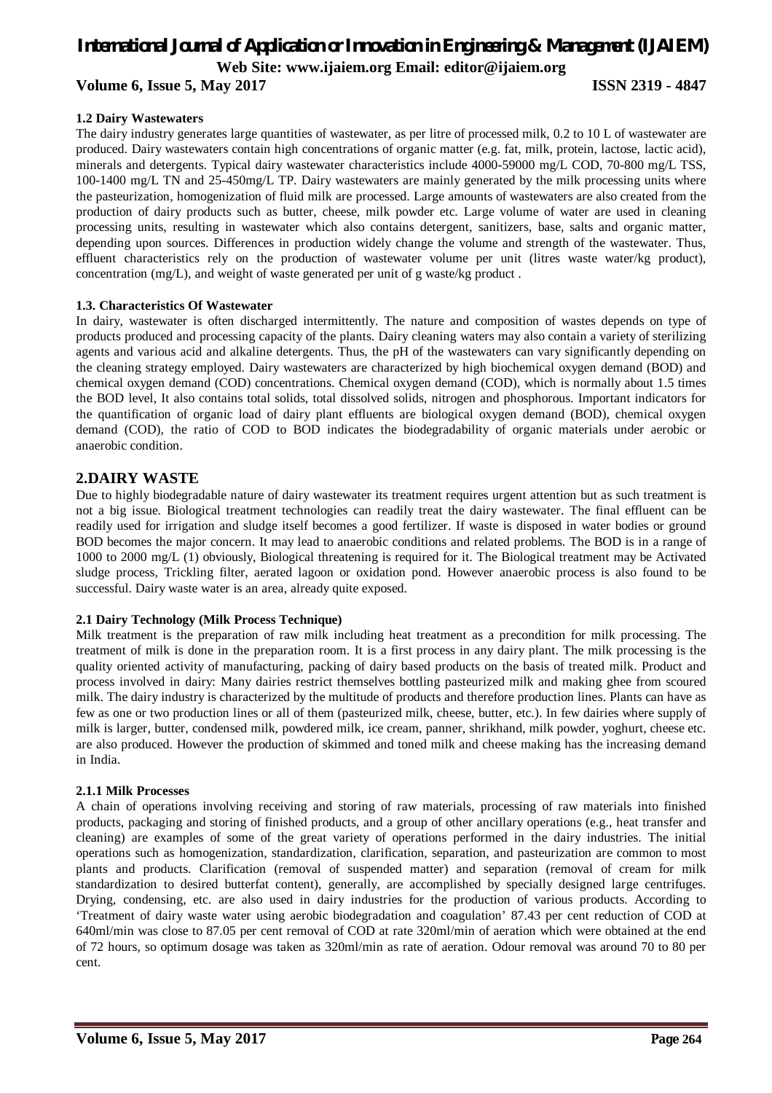**Volume 6, Issue 5, May 2017 ISSN 2319 - 4847**

#### **1.2 Dairy Wastewaters**

The dairy industry generates large quantities of wastewater, as per litre of processed milk, 0.2 to 10 L of wastewater are produced. Dairy wastewaters contain high concentrations of organic matter (e.g. fat, milk, protein, lactose, lactic acid), minerals and detergents. Typical dairy wastewater characteristics include 4000-59000 mg/L COD, 70-800 mg/L TSS, 100-1400 mg/L TN and 25-450mg/L TP. Dairy wastewaters are mainly generated by the milk processing units where the pasteurization, homogenization of fluid milk are processed. Large amounts of wastewaters are also created from the production of dairy products such as butter, cheese, milk powder etc. Large volume of water are used in cleaning processing units, resulting in wastewater which also contains detergent, sanitizers, base, salts and organic matter, depending upon sources. Differences in production widely change the volume and strength of the wastewater. Thus, effluent characteristics rely on the production of wastewater volume per unit (litres waste water/kg product), concentration (mg/L), and weight of waste generated per unit of g waste/kg product .

#### **1.3. Characteristics Of Wastewater**

In dairy, wastewater is often discharged intermittently. The nature and composition of wastes depends on type of products produced and processing capacity of the plants. Dairy cleaning waters may also contain a variety of sterilizing agents and various acid and alkaline detergents. Thus, the pH of the wastewaters can vary significantly depending on the cleaning strategy employed. Dairy wastewaters are characterized by high biochemical oxygen demand (BOD) and chemical oxygen demand (COD) concentrations. Chemical oxygen demand (COD), which is normally about 1.5 times the BOD level, It also contains total solids, total dissolved solids, nitrogen and phosphorous. Important indicators for the quantification of organic load of dairy plant effluents are biological oxygen demand (BOD), chemical oxygen demand (COD), the ratio of COD to BOD indicates the biodegradability of organic materials under aerobic or anaerobic condition.

### **2.DAIRY WASTE**

Due to highly biodegradable nature of dairy wastewater its treatment requires urgent attention but as such treatment is not a big issue. Biological treatment technologies can readily treat the dairy wastewater. The final effluent can be readily used for irrigation and sludge itself becomes a good fertilizer. If waste is disposed in water bodies or ground BOD becomes the major concern. It may lead to anaerobic conditions and related problems. The BOD is in a range of 1000 to 2000 mg/L (1) obviously, Biological threatening is required for it. The Biological treatment may be Activated sludge process, Trickling filter, aerated lagoon or oxidation pond. However anaerobic process is also found to be successful. Dairy waste water is an area, already quite exposed.

#### **2.1 Dairy Technology (Milk Process Technique)**

Milk treatment is the preparation of raw milk including heat treatment as a precondition for milk processing. The treatment of milk is done in the preparation room. It is a first process in any dairy plant. The milk processing is the quality oriented activity of manufacturing, packing of dairy based products on the basis of treated milk. Product and process involved in dairy: Many dairies restrict themselves bottling pasteurized milk and making ghee from scoured milk. The dairy industry is characterized by the multitude of products and therefore production lines. Plants can have as few as one or two production lines or all of them (pasteurized milk, cheese, butter, etc.). In few dairies where supply of milk is larger, butter, condensed milk, powdered milk, ice cream, panner, shrikhand, milk powder, yoghurt, cheese etc. are also produced. However the production of skimmed and toned milk and cheese making has the increasing demand in India.

#### **2.1.1 Milk Processes**

A chain of operations involving receiving and storing of raw materials, processing of raw materials into finished products, packaging and storing of finished products, and a group of other ancillary operations (e.g., heat transfer and cleaning) are examples of some of the great variety of operations performed in the dairy industries. The initial operations such as homogenization, standardization, clarification, separation, and pasteurization are common to most plants and products. Clarification (removal of suspended matter) and separation (removal of cream for milk standardization to desired butterfat content), generally, are accomplished by specially designed large centrifuges. Drying, condensing, etc. are also used in dairy industries for the production of various products. According to 'Treatment of dairy waste water using aerobic biodegradation and coagulation' 87.43 per cent reduction of COD at 640ml/min was close to 87.05 per cent removal of COD at rate 320ml/min of aeration which were obtained at the end of 72 hours, so optimum dosage was taken as 320ml/min as rate of aeration. Odour removal was around 70 to 80 per cent.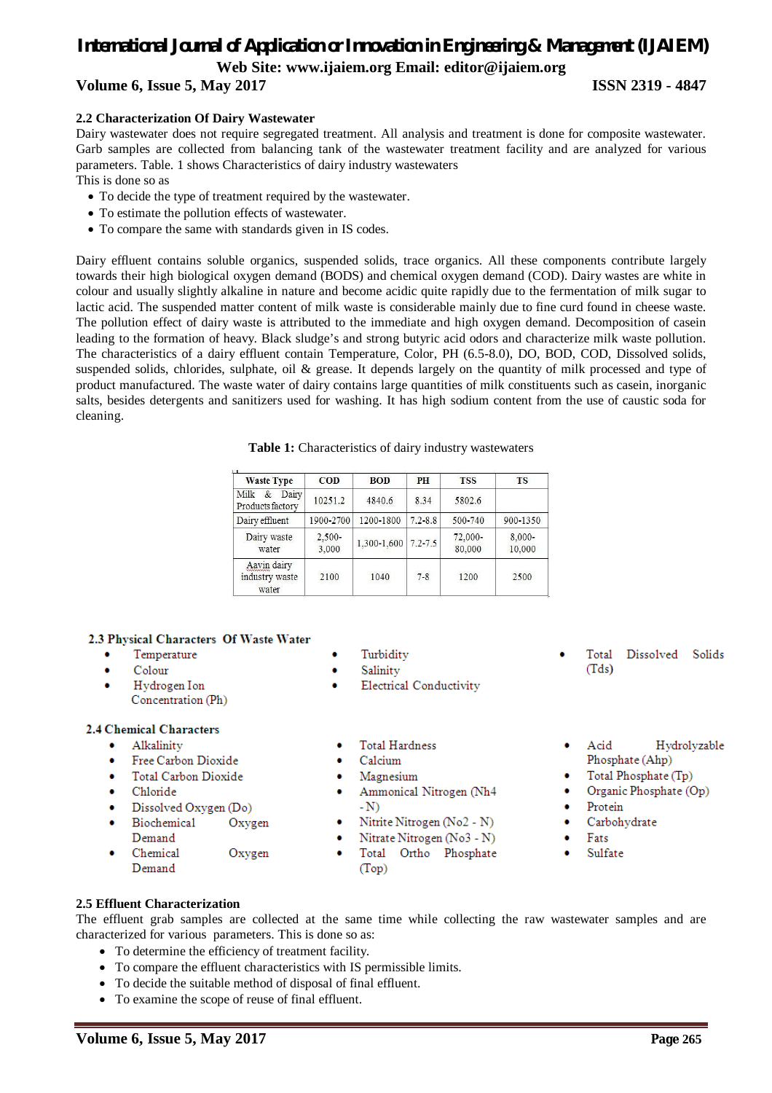**Web Site: www.ijaiem.org Email: editor@ijaiem.org**

### **Volume 6, Issue 5, May 2017 ISSN 2319 - 4847**

#### **2.2 Characterization Of Dairy Wastewater**

Dairy wastewater does not require segregated treatment. All analysis and treatment is done for composite wastewater. Garb samples are collected from balancing tank of the wastewater treatment facility and are analyzed for various parameters. Table. 1 shows Characteristics of dairy industry wastewaters This is done so as

- To decide the type of treatment required by the wastewater.
- To estimate the pollution effects of wastewater.
- To compare the same with standards given in IS codes.

Dairy effluent contains soluble organics, suspended solids, trace organics. All these components contribute largely towards their high biological oxygen demand (BODS) and chemical oxygen demand (COD). Dairy wastes are white in colour and usually slightly alkaline in nature and become acidic quite rapidly due to the fermentation of milk sugar to lactic acid. The suspended matter content of milk waste is considerable mainly due to fine curd found in cheese waste. The pollution effect of dairy waste is attributed to the immediate and high oxygen demand. Decomposition of casein leading to the formation of heavy. Black sludge's and strong butyric acid odors and characterize milk waste pollution. The characteristics of a dairy effluent contain Temperature, Color, PH (6.5-8.0), DO, BOD, COD, Dissolved solids, suspended solids, chlorides, sulphate, oil & grease. It depends largely on the quantity of milk processed and type of product manufactured. The waste water of dairy contains large quantities of milk constituents such as casein, inorganic salts, besides detergents and sanitizers used for washing. It has high sodium content from the use of caustic soda for cleaning.

|  |  |  | Table 1: Characteristics of dairy industry wastewaters |  |  |  |  |
|--|--|--|--------------------------------------------------------|--|--|--|--|
|--|--|--|--------------------------------------------------------|--|--|--|--|

| <b>Waste Type</b>                      | <b>COD</b>         | <b>BOD</b>    | PH          | <b>TSS</b>        | <b>TS</b>        |
|----------------------------------------|--------------------|---------------|-------------|-------------------|------------------|
| & Dairy<br>Milk<br>Products factory    | 10251.2            | 4840.6        | 8.34        | 5802.6            |                  |
| Dairy effluent                         | 1900-2700          | 1200-1800     | $7.2 - 8.8$ | 500-740           | 900-1350         |
| Dairy waste<br>water                   | $2.500 -$<br>3,000 | $1,300-1,600$ | $7.2 - 7.5$ | 72,000-<br>80,000 | 8,000-<br>10,000 |
| Aavin dairy<br>industry waste<br>water | 2100               | 1040          | $7 - 8$     | 1200              | 2500             |

#### 2.3 Physical Characters Of Waste Water

- ۰ Temperature
- Colour
- Hydrogen Ion  $\bullet$ Concentration (Ph)

## 2.4 Chemical Characters

- Alkalinity
- Free Carbon Dioxide
- Total Carbon Dioxide
- Chloride
- Dissolved Oxygen (Do)
- Biochemical Oxygen Demand
- Chemical Oxygen Demand

Turbidity

Salinity

 $\bullet$ 

- **Total Hardness**
- Calcium
- Magnesium
- Ammonical Nitrogen (Nh4  $-N$

**Electrical Conductivity** 

- Nitrite Nitrogen (No2 N)
- Nitrate Nitrogen (No3 N)
- Total Ortho Phosphate  $(Top)$
- Total Dissolved Solids (Tds)
- Acid Hydrolyzable  $\bullet$ Phosphate (Ahp)
- Total Phosphate (Tp)
- Organic Phosphate (Op)
- Protein
- Carbohydrate ۰
- Fats
- Sulfate

#### **2.5 Effluent Characterization**

The effluent grab samples are collected at the same time while collecting the raw wastewater samples and are characterized for various parameters. This is done so as:

- To determine the efficiency of treatment facility.
- To compare the effluent characteristics with IS permissible limits.
- To decide the suitable method of disposal of final effluent.
- To examine the scope of reuse of final effluent.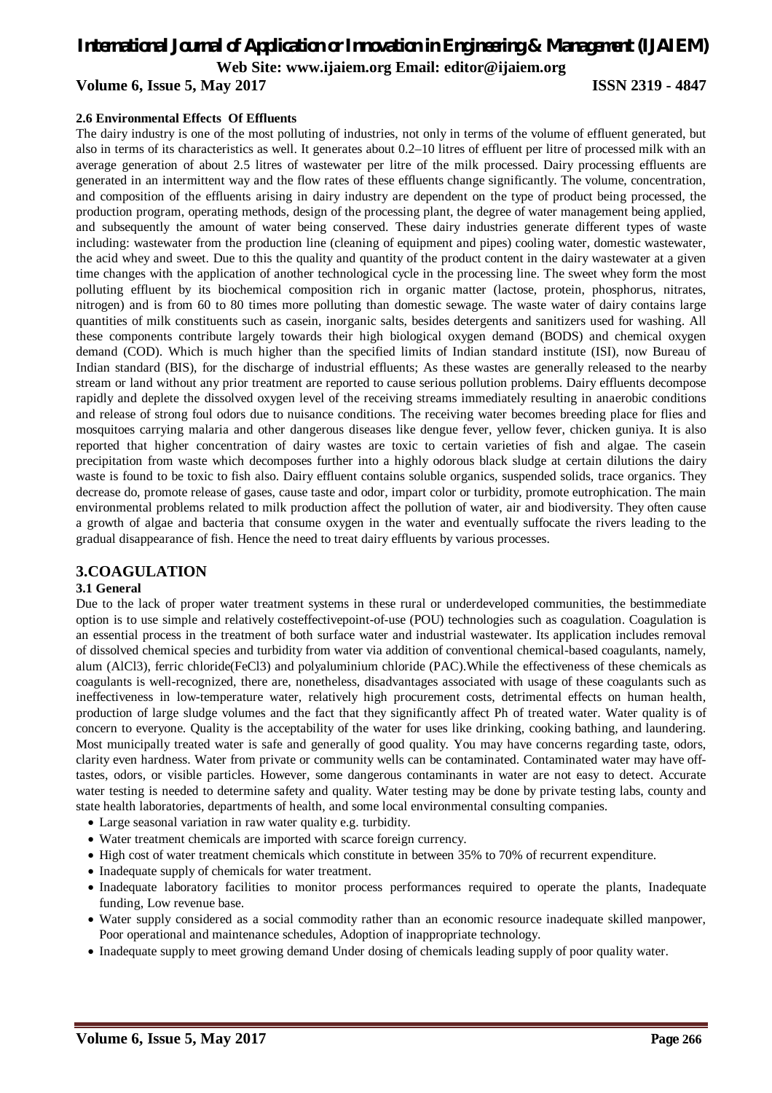**Web Site: www.ijaiem.org Email: editor@ijaiem.org**

### **Volume 6, Issue 5, May 2017 ISSN 2319 - 4847**

### **2.6 Environmental Effects Of Effluents**

The dairy industry is one of the most polluting of industries, not only in terms of the volume of effluent generated, but also in terms of its characteristics as well. It generates about 0.2–10 litres of effluent per litre of processed milk with an average generation of about 2.5 litres of wastewater per litre of the milk processed. Dairy processing effluents are generated in an intermittent way and the flow rates of these effluents change significantly. The volume, concentration, and composition of the effluents arising in dairy industry are dependent on the type of product being processed, the production program, operating methods, design of the processing plant, the degree of water management being applied, and subsequently the amount of water being conserved. These dairy industries generate different types of waste including: wastewater from the production line (cleaning of equipment and pipes) cooling water, domestic wastewater, the acid whey and sweet. Due to this the quality and quantity of the product content in the dairy wastewater at a given time changes with the application of another technological cycle in the processing line. The sweet whey form the most polluting effluent by its biochemical composition rich in organic matter (lactose, protein, phosphorus, nitrates, nitrogen) and is from 60 to 80 times more polluting than domestic sewage. The waste water of dairy contains large quantities of milk constituents such as casein, inorganic salts, besides detergents and sanitizers used for washing. All these components contribute largely towards their high biological oxygen demand (BODS) and chemical oxygen demand (COD). Which is much higher than the specified limits of Indian standard institute (ISI), now Bureau of Indian standard (BIS), for the discharge of industrial effluents; As these wastes are generally released to the nearby stream or land without any prior treatment are reported to cause serious pollution problems. Dairy effluents decompose rapidly and deplete the dissolved oxygen level of the receiving streams immediately resulting in anaerobic conditions and release of strong foul odors due to nuisance conditions. The receiving water becomes breeding place for flies and mosquitoes carrying malaria and other dangerous diseases like dengue fever, yellow fever, chicken guniya. It is also reported that higher concentration of dairy wastes are toxic to certain varieties of fish and algae. The casein precipitation from waste which decomposes further into a highly odorous black sludge at certain dilutions the dairy waste is found to be toxic to fish also. Dairy effluent contains soluble organics, suspended solids, trace organics. They decrease do, promote release of gases, cause taste and odor, impart color or turbidity, promote eutrophication. The main environmental problems related to milk production affect the pollution of water, air and biodiversity. They often cause a growth of algae and bacteria that consume oxygen in the water and eventually suffocate the rivers leading to the gradual disappearance of fish. Hence the need to treat dairy effluents by various processes.

### **3.COAGULATION**

#### **3.1 General**

Due to the lack of proper water treatment systems in these rural or underdeveloped communities, the bestimmediate option is to use simple and relatively costeffectivepoint-of-use (POU) technologies such as coagulation. Coagulation is an essential process in the treatment of both surface water and industrial wastewater. Its application includes removal of dissolved chemical species and turbidity from water via addition of conventional chemical-based coagulants, namely, alum (AlCl3), ferric chloride(FeCl3) and polyaluminium chloride (PAC).While the effectiveness of these chemicals as coagulants is well-recognized, there are, nonetheless, disadvantages associated with usage of these coagulants such as ineffectiveness in low-temperature water, relatively high procurement costs, detrimental effects on human health, production of large sludge volumes and the fact that they significantly affect Ph of treated water. Water quality is of concern to everyone. Quality is the acceptability of the water for uses like drinking, cooking bathing, and laundering. Most municipally treated water is safe and generally of good quality. You may have concerns regarding taste, odors, clarity even hardness. Water from private or community wells can be contaminated. Contaminated water may have offtastes, odors, or visible particles. However, some dangerous contaminants in water are not easy to detect. Accurate water testing is needed to determine safety and quality. Water testing may be done by private testing labs, county and state health laboratories, departments of health, and some local environmental consulting companies.

- Large seasonal variation in raw water quality e.g. turbidity.
- Water treatment chemicals are imported with scarce foreign currency.
- High cost of water treatment chemicals which constitute in between 35% to 70% of recurrent expenditure.
- Inadequate supply of chemicals for water treatment.
- Inadequate laboratory facilities to monitor process performances required to operate the plants, Inadequate funding, Low revenue base.
- Water supply considered as a social commodity rather than an economic resource inadequate skilled manpower, Poor operational and maintenance schedules, Adoption of inappropriate technology.
- Inadequate supply to meet growing demand Under dosing of chemicals leading supply of poor quality water.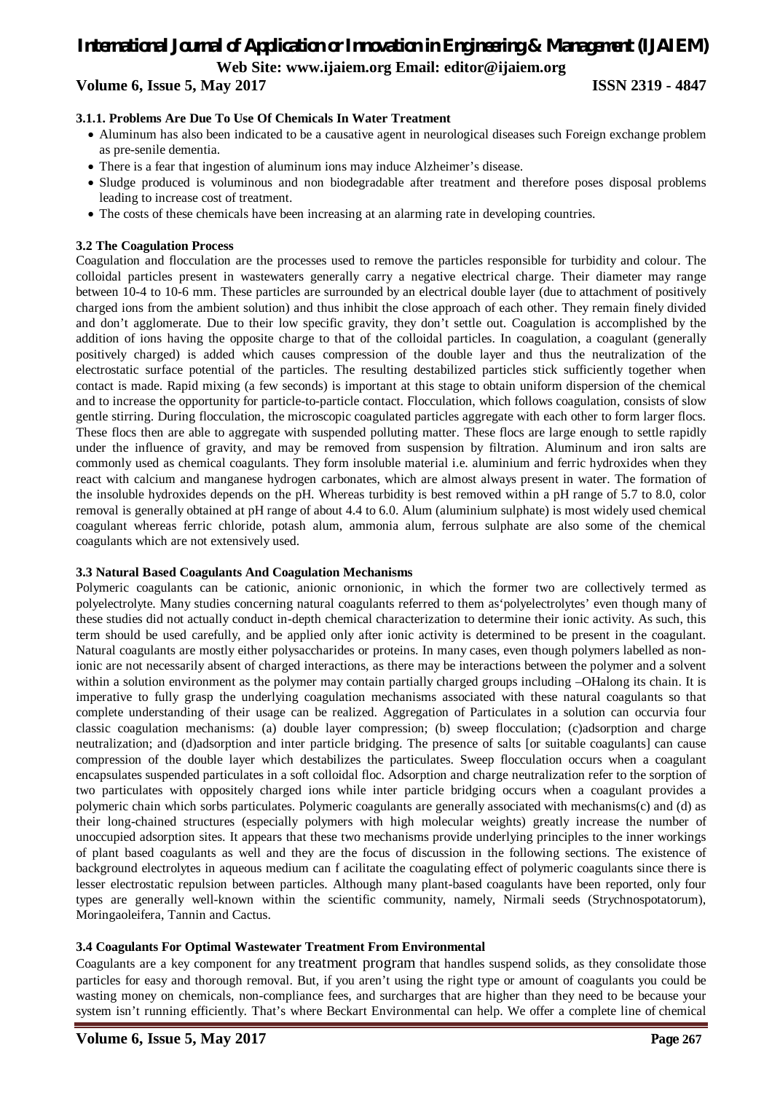**Web Site: www.ijaiem.org Email: editor@ijaiem.org**

### **Volume 6, Issue 5, May 2017 ISSN 2319 - 4847**

#### **3.1.1. Problems Are Due To Use Of Chemicals In Water Treatment**

- Aluminum has also been indicated to be a causative agent in neurological diseases such Foreign exchange problem as pre-senile dementia.
- There is a fear that ingestion of aluminum ions may induce Alzheimer's disease.
- Sludge produced is voluminous and non biodegradable after treatment and therefore poses disposal problems leading to increase cost of treatment.
- The costs of these chemicals have been increasing at an alarming rate in developing countries.

#### **3.2 The Coagulation Process**

Coagulation and flocculation are the processes used to remove the particles responsible for turbidity and colour. The colloidal particles present in wastewaters generally carry a negative electrical charge. Their diameter may range between 10-4 to 10-6 mm. These particles are surrounded by an electrical double layer (due to attachment of positively charged ions from the ambient solution) and thus inhibit the close approach of each other. They remain finely divided and don't agglomerate. Due to their low specific gravity, they don't settle out. Coagulation is accomplished by the addition of ions having the opposite charge to that of the colloidal particles. In coagulation, a coagulant (generally positively charged) is added which causes compression of the double layer and thus the neutralization of the electrostatic surface potential of the particles. The resulting destabilized particles stick sufficiently together when contact is made. Rapid mixing (a few seconds) is important at this stage to obtain uniform dispersion of the chemical and to increase the opportunity for particle-to-particle contact. Flocculation, which follows coagulation, consists of slow gentle stirring. During flocculation, the microscopic coagulated particles aggregate with each other to form larger flocs. These flocs then are able to aggregate with suspended polluting matter. These flocs are large enough to settle rapidly under the influence of gravity, and may be removed from suspension by filtration. Aluminum and iron salts are commonly used as chemical coagulants. They form insoluble material i.e. aluminium and ferric hydroxides when they react with calcium and manganese hydrogen carbonates, which are almost always present in water. The formation of the insoluble hydroxides depends on the pH. Whereas turbidity is best removed within a pH range of 5.7 to 8.0, color removal is generally obtained at pH range of about 4.4 to 6.0. Alum (aluminium sulphate) is most widely used chemical coagulant whereas ferric chloride, potash alum, ammonia alum, ferrous sulphate are also some of the chemical coagulants which are not extensively used.

#### **3.3 Natural Based Coagulants And Coagulation Mechanisms**

Polymeric coagulants can be cationic, anionic ornonionic, in which the former two are collectively termed as polyelectrolyte. Many studies concerning natural coagulants referred to them as'polyelectrolytes' even though many of these studies did not actually conduct in-depth chemical characterization to determine their ionic activity. As such, this term should be used carefully, and be applied only after ionic activity is determined to be present in the coagulant. Natural coagulants are mostly either polysaccharides or proteins. In many cases, even though polymers labelled as nonionic are not necessarily absent of charged interactions, as there may be interactions between the polymer and a solvent within a solution environment as the polymer may contain partially charged groups including -OHalong its chain. It is imperative to fully grasp the underlying coagulation mechanisms associated with these natural coagulants so that complete understanding of their usage can be realized. Aggregation of Particulates in a solution can occurvia four classic coagulation mechanisms: (a) double layer compression; (b) sweep flocculation; (c)adsorption and charge neutralization; and (d)adsorption and inter particle bridging. The presence of salts [or suitable coagulants] can cause compression of the double layer which destabilizes the particulates. Sweep flocculation occurs when a coagulant encapsulates suspended particulates in a soft colloidal floc. Adsorption and charge neutralization refer to the sorption of two particulates with oppositely charged ions while inter particle bridging occurs when a coagulant provides a polymeric chain which sorbs particulates. Polymeric coagulants are generally associated with mechanisms(c) and (d) as their long-chained structures (especially polymers with high molecular weights) greatly increase the number of unoccupied adsorption sites. It appears that these two mechanisms provide underlying principles to the inner workings of plant based coagulants as well and they are the focus of discussion in the following sections. The existence of background electrolytes in aqueous medium can f acilitate the coagulating effect of polymeric coagulants since there is lesser electrostatic repulsion between particles. Although many plant-based coagulants have been reported, only four types are generally well-known within the scientific community, namely, Nirmali seeds (Strychnospotatorum), Moringaoleifera, Tannin and Cactus.

#### **3.4 Coagulants For Optimal Wastewater Treatment From Environmental**

Coagulants are a key component for any treatment program that handles suspend solids, as they consolidate those particles for easy and thorough removal. But, if you aren't using the right type or amount of coagulants you could be wasting money on chemicals, non-compliance fees, and surcharges that are higher than they need to be because your system isn't running efficiently. That's where Beckart Environmental can help. We offer a complete line of chemical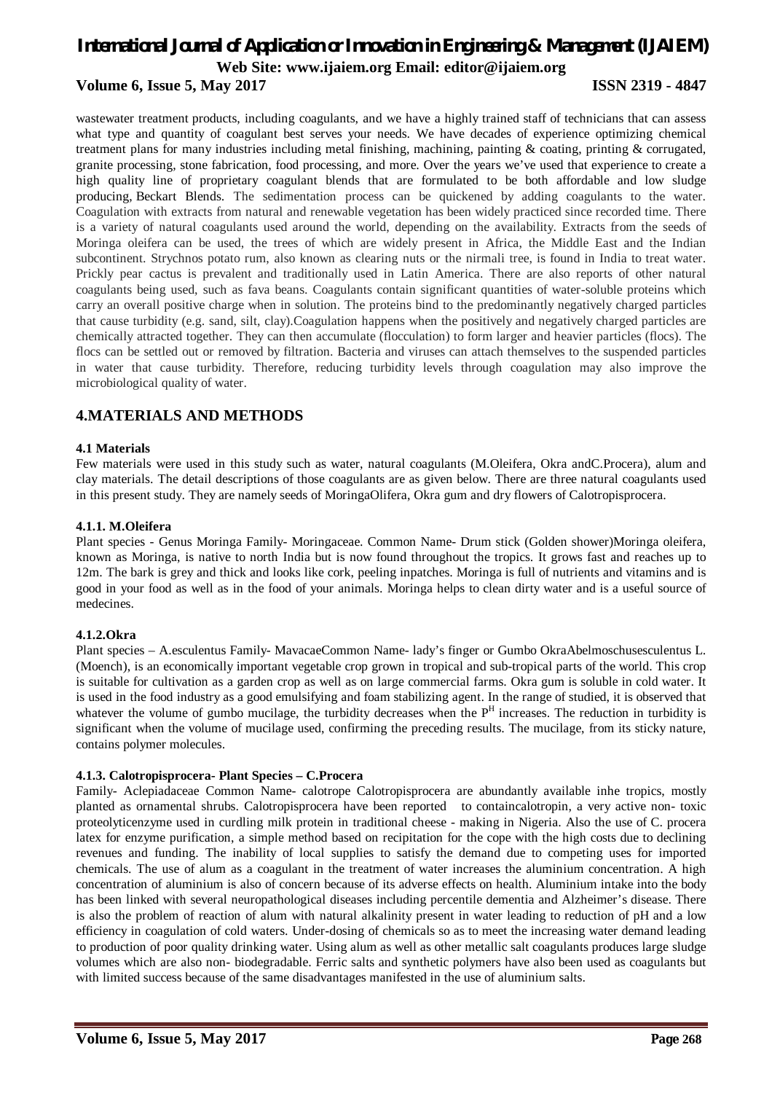#### **Volume 6, Issue 5, May 2017 ISSN 2319 - 4847**

wastewater treatment products, including coagulants, and we have a highly trained staff of technicians that can assess what type and quantity of coagulant best serves your needs. We have decades of experience optimizing chemical treatment plans for many industries including metal finishing, machining, painting & coating, printing & corrugated, granite processing, stone fabrication, food processing, and more. Over the years we've used that experience to create a high quality line of proprietary coagulant blends that are formulated to be both affordable and low sludge producing, Beckart Blends. The sedimentation process can be quickened by adding coagulants to the water. Coagulation with extracts from natural and renewable vegetation has been widely practiced since recorded time. There is a variety of natural coagulants used around the world, depending on the availability. Extracts from the seeds of Moringa oleifera can be used, the trees of which are widely present in Africa, the Middle East and the Indian subcontinent. Strychnos potato rum, also known as clearing nuts or the nirmali tree, is found in India to treat water. Prickly pear cactus is prevalent and traditionally used in Latin America. There are also reports of other natural coagulants being used, such as fava beans. Coagulants contain significant quantities of water-soluble proteins which carry an overall positive charge when in solution. The proteins bind to the predominantly negatively charged particles that cause turbidity (e.g. sand, silt, clay).Coagulation happens when the positively and negatively charged particles are chemically attracted together. They can then accumulate (flocculation) to form larger and heavier particles (flocs). The flocs can be settled out or removed by filtration. Bacteria and viruses can attach themselves to the suspended particles in water that cause turbidity. Therefore, reducing turbidity levels through coagulation may also improve the microbiological quality of water.

### **4.MATERIALS AND METHODS**

#### **4.1 Materials**

Few materials were used in this study such as water, natural coagulants (M.Oleifera, Okra andC.Procera), alum and clay materials. The detail descriptions of those coagulants are as given below. There are three natural coagulants used in this present study. They are namely seeds of MoringaOlifera, Okra gum and dry flowers of Calotropisprocera.

#### **4.1.1. M.Oleifera**

Plant species - Genus Moringa Family- Moringaceae. Common Name- Drum stick (Golden shower)Moringa oleifera, known as Moringa, is native to north India but is now found throughout the tropics. It grows fast and reaches up to 12m. The bark is grey and thick and looks like cork, peeling inpatches. Moringa is full of nutrients and vitamins and is good in your food as well as in the food of your animals. Moringa helps to clean dirty water and is a useful source of medecines.

#### **4.1.2.Okra**

Plant species – A.esculentus Family- MavacaeCommon Name- lady's finger or Gumbo OkraAbelmoschusesculentus L. (Moench), is an economically important vegetable crop grown in tropical and sub-tropical parts of the world. This crop is suitable for cultivation as a garden crop as well as on large commercial farms. Okra gum is soluble in cold water. It is used in the food industry as a good emulsifying and foam stabilizing agent. In the range of studied, it is observed that whatever the volume of gumbo mucilage, the turbidity decreases when the  $P<sup>H</sup>$  increases. The reduction in turbidity is significant when the volume of mucilage used, confirming the preceding results. The mucilage, from its sticky nature, contains polymer molecules.

#### **4.1.3. Calotropisprocera- Plant Species – C.Procera**

Family- Aclepiadaceae Common Name- calotrope Calotropisprocera are abundantly available inhe tropics, mostly planted as ornamental shrubs. Calotropisprocera have been reported to containcalotropin, a very active non- toxic proteolyticenzyme used in curdling milk protein in traditional cheese - making in Nigeria. Also the use of C. procera latex for enzyme purification, a simple method based on recipitation for the cope with the high costs due to declining revenues and funding. The inability of local supplies to satisfy the demand due to competing uses for imported chemicals. The use of alum as a coagulant in the treatment of water increases the aluminium concentration. A high concentration of aluminium is also of concern because of its adverse effects on health. Aluminium intake into the body has been linked with several neuropathological diseases including percentile dementia and Alzheimer's disease. There is also the problem of reaction of alum with natural alkalinity present in water leading to reduction of pH and a low efficiency in coagulation of cold waters. Under-dosing of chemicals so as to meet the increasing water demand leading to production of poor quality drinking water. Using alum as well as other metallic salt coagulants produces large sludge volumes which are also non- biodegradable. Ferric salts and synthetic polymers have also been used as coagulants but with limited success because of the same disadvantages manifested in the use of aluminium salts.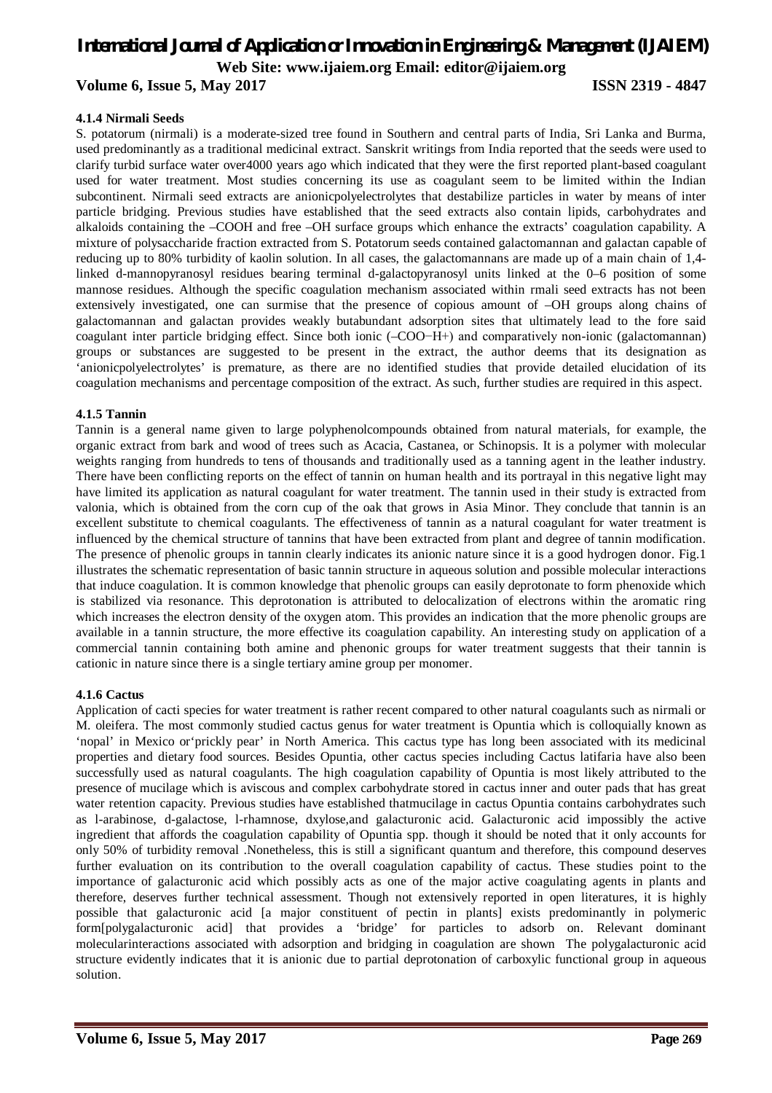#### **Volume 6, Issue 5, May 2017 ISSN 2319 - 4847**

#### **4.1.4 Nirmali Seeds**

S. potatorum (nirmali) is a moderate-sized tree found in Southern and central parts of India, Sri Lanka and Burma, used predominantly as a traditional medicinal extract. Sanskrit writings from India reported that the seeds were used to clarify turbid surface water over4000 years ago which indicated that they were the first reported plant-based coagulant used for water treatment. Most studies concerning its use as coagulant seem to be limited within the Indian subcontinent. Nirmali seed extracts are anionicpolyelectrolytes that destabilize particles in water by means of inter particle bridging. Previous studies have established that the seed extracts also contain lipids, carbohydrates and alkaloids containing the –COOH and free –OH surface groups which enhance the extracts' coagulation capability. A mixture of polysaccharide fraction extracted from S. Potatorum seeds contained galactomannan and galactan capable of reducing up to 80% turbidity of kaolin solution. In all cases, the galactomannans are made up of a main chain of 1,4 linked d-mannopyranosyl residues bearing terminal d-galactopyranosyl units linked at the 0–6 position of some mannose residues. Although the specific coagulation mechanism associated within rmali seed extracts has not been extensively investigated, one can surmise that the presence of copious amount of –OH groups along chains of galactomannan and galactan provides weakly butabundant adsorption sites that ultimately lead to the fore said coagulant inter particle bridging effect. Since both ionic (–COO−H+) and comparatively non-ionic (galactomannan) groups or substances are suggested to be present in the extract, the author deems that its designation as 'anionicpolyelectrolytes' is premature, as there are no identified studies that provide detailed elucidation of its coagulation mechanisms and percentage composition of the extract. As such, further studies are required in this aspect.

#### **4.1.5 Tannin**

Tannin is a general name given to large polyphenolcompounds obtained from natural materials, for example, the organic extract from bark and wood of trees such as Acacia, Castanea, or Schinopsis. It is a polymer with molecular weights ranging from hundreds to tens of thousands and traditionally used as a tanning agent in the leather industry. There have been conflicting reports on the effect of tannin on human health and its portrayal in this negative light may have limited its application as natural coagulant for water treatment. The tannin used in their study is extracted from valonia, which is obtained from the corn cup of the oak that grows in Asia Minor. They conclude that tannin is an excellent substitute to chemical coagulants. The effectiveness of tannin as a natural coagulant for water treatment is influenced by the chemical structure of tannins that have been extracted from plant and degree of tannin modification. The presence of phenolic groups in tannin clearly indicates its anionic nature since it is a good hydrogen donor. Fig.1 illustrates the schematic representation of basic tannin structure in aqueous solution and possible molecular interactions that induce coagulation. It is common knowledge that phenolic groups can easily deprotonate to form phenoxide which is stabilized via resonance. This deprotonation is attributed to delocalization of electrons within the aromatic ring which increases the electron density of the oxygen atom. This provides an indication that the more phenolic groups are available in a tannin structure, the more effective its coagulation capability. An interesting study on application of a commercial tannin containing both amine and phenonic groups for water treatment suggests that their tannin is cationic in nature since there is a single tertiary amine group per monomer.

#### **4.1.6 Cactus**

Application of cacti species for water treatment is rather recent compared to other natural coagulants such as nirmali or M. oleifera. The most commonly studied cactus genus for water treatment is Opuntia which is colloquially known as 'nopal' in Mexico or'prickly pear' in North America. This cactus type has long been associated with its medicinal properties and dietary food sources. Besides Opuntia, other cactus species including Cactus latifaria have also been successfully used as natural coagulants. The high coagulation capability of Opuntia is most likely attributed to the presence of mucilage which is aviscous and complex carbohydrate stored in cactus inner and outer pads that has great water retention capacity. Previous studies have established thatmucilage in cactus Opuntia contains carbohydrates such as l-arabinose, d-galactose, l-rhamnose, dxylose,and galacturonic acid. Galacturonic acid impossibly the active ingredient that affords the coagulation capability of Opuntia spp. though it should be noted that it only accounts for only 50% of turbidity removal .Nonetheless, this is still a significant quantum and therefore, this compound deserves further evaluation on its contribution to the overall coagulation capability of cactus. These studies point to the importance of galacturonic acid which possibly acts as one of the major active coagulating agents in plants and therefore, deserves further technical assessment. Though not extensively reported in open literatures, it is highly possible that galacturonic acid [a major constituent of pectin in plants] exists predominantly in polymeric form[polygalacturonic acid] that provides a 'bridge' for particles to adsorb on. Relevant dominant molecularinteractions associated with adsorption and bridging in coagulation are shown The polygalacturonic acid structure evidently indicates that it is anionic due to partial deprotonation of carboxylic functional group in aqueous solution.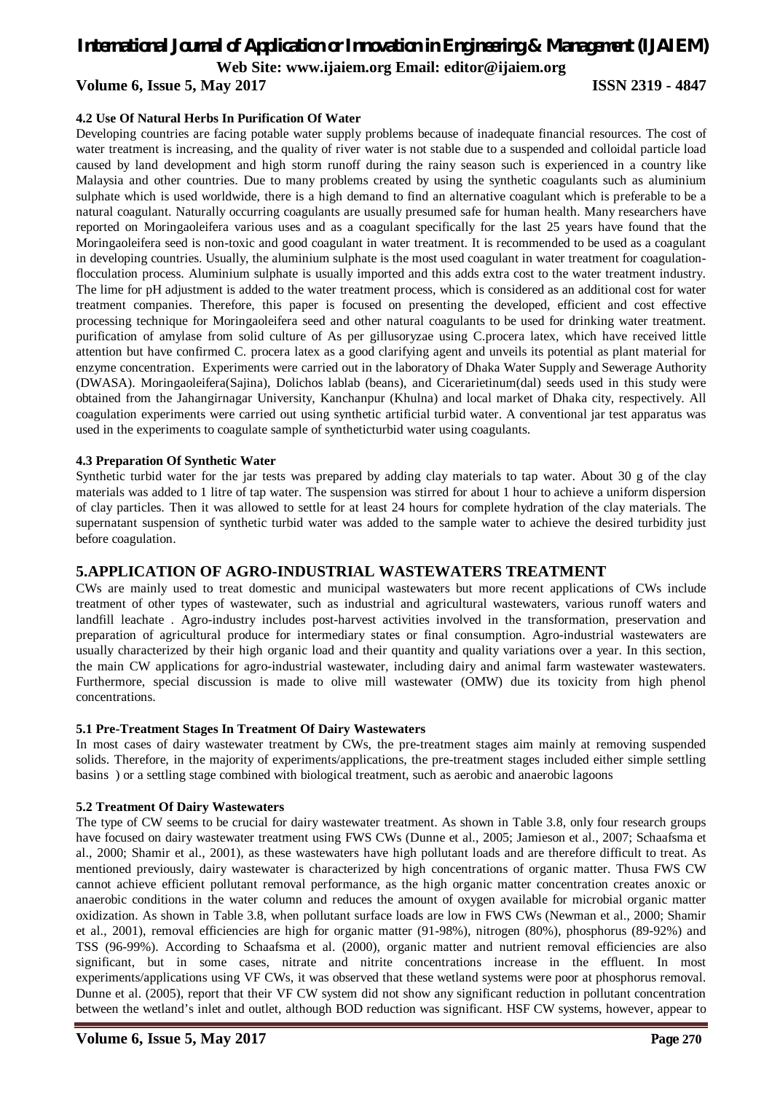**Web Site: www.ijaiem.org Email: editor@ijaiem.org**

### **Volume 6, Issue 5, May 2017 ISSN 2319 - 4847**

#### **4.2 Use Of Natural Herbs In Purification Of Water**

Developing countries are facing potable water supply problems because of inadequate financial resources. The cost of water treatment is increasing, and the quality of river water is not stable due to a suspended and colloidal particle load caused by land development and high storm runoff during the rainy season such is experienced in a country like Malaysia and other countries. Due to many problems created by using the synthetic coagulants such as aluminium sulphate which is used worldwide, there is a high demand to find an alternative coagulant which is preferable to be a natural coagulant. Naturally occurring coagulants are usually presumed safe for human health. Many researchers have reported on Moringaoleifera various uses and as a coagulant specifically for the last 25 years have found that the Moringaoleifera seed is non-toxic and good coagulant in water treatment. It is recommended to be used as a coagulant in developing countries. Usually, the aluminium sulphate is the most used coagulant in water treatment for coagulationflocculation process. Aluminium sulphate is usually imported and this adds extra cost to the water treatment industry. The lime for pH adjustment is added to the water treatment process, which is considered as an additional cost for water treatment companies. Therefore, this paper is focused on presenting the developed, efficient and cost effective processing technique for Moringaoleifera seed and other natural coagulants to be used for drinking water treatment. purification of amylase from solid culture of As per gillusoryzae using C.procera latex, which have received little attention but have confirmed C. procera latex as a good clarifying agent and unveils its potential as plant material for enzyme concentration. Experiments were carried out in the laboratory of Dhaka Water Supply and Sewerage Authority (DWASA). Moringaoleifera(Sajina), Dolichos lablab (beans), and Cicerarietinum(dal) seeds used in this study were obtained from the Jahangirnagar University, Kanchanpur (Khulna) and local market of Dhaka city, respectively. All coagulation experiments were carried out using synthetic artificial turbid water. A conventional jar test apparatus was used in the experiments to coagulate sample of syntheticturbid water using coagulants.

#### **4.3 Preparation Of Synthetic Water**

Synthetic turbid water for the jar tests was prepared by adding clay materials to tap water. About 30 g of the clay materials was added to 1 litre of tap water. The suspension was stirred for about 1 hour to achieve a uniform dispersion of clay particles. Then it was allowed to settle for at least 24 hours for complete hydration of the clay materials. The supernatant suspension of synthetic turbid water was added to the sample water to achieve the desired turbidity just before coagulation.

#### **5.APPLICATION OF AGRO-INDUSTRIAL WASTEWATERS TREATMENT**

CWs are mainly used to treat domestic and municipal wastewaters but more recent applications of CWs include treatment of other types of wastewater, such as industrial and agricultural wastewaters, various runoff waters and landfill leachate . Agro-industry includes post-harvest activities involved in the transformation, preservation and preparation of agricultural produce for intermediary states or final consumption. Agro-industrial wastewaters are usually characterized by their high organic load and their quantity and quality variations over a year. In this section, the main CW applications for agro-industrial wastewater, including dairy and animal farm wastewater wastewaters. Furthermore, special discussion is made to olive mill wastewater (OMW) due its toxicity from high phenol concentrations.

#### **5.1 Pre-Treatment Stages In Treatment Of Dairy Wastewaters**

In most cases of dairy wastewater treatment by CWs, the pre-treatment stages aim mainly at removing suspended solids. Therefore, in the majority of experiments/applications, the pre-treatment stages included either simple settling basins ) or a settling stage combined with biological treatment, such as aerobic and anaerobic lagoons

#### **5.2 Treatment Of Dairy Wastewaters**

The type of CW seems to be crucial for dairy wastewater treatment. As shown in Table 3.8, only four research groups have focused on dairy wastewater treatment using FWS CWs (Dunne et al., 2005; Jamieson et al., 2007; Schaafsma et al., 2000; Shamir et al., 2001), as these wastewaters have high pollutant loads and are therefore difficult to treat. As mentioned previously, dairy wastewater is characterized by high concentrations of organic matter. Thusa FWS CW cannot achieve efficient pollutant removal performance, as the high organic matter concentration creates anoxic or anaerobic conditions in the water column and reduces the amount of oxygen available for microbial organic matter oxidization. As shown in Table 3.8, when pollutant surface loads are low in FWS CWs (Newman et al., 2000; Shamir et al., 2001), removal efficiencies are high for organic matter (91-98%), nitrogen (80%), phosphorus (89-92%) and TSS (96-99%). According to Schaafsma et al. (2000), organic matter and nutrient removal efficiencies are also significant, but in some cases, nitrate and nitrite concentrations increase in the effluent. In most experiments/applications using VF CWs, it was observed that these wetland systems were poor at phosphorus removal. Dunne et al. (2005), report that their VF CW system did not show any significant reduction in pollutant concentration between the wetland's inlet and outlet, although BOD reduction was significant. HSF CW systems, however, appear to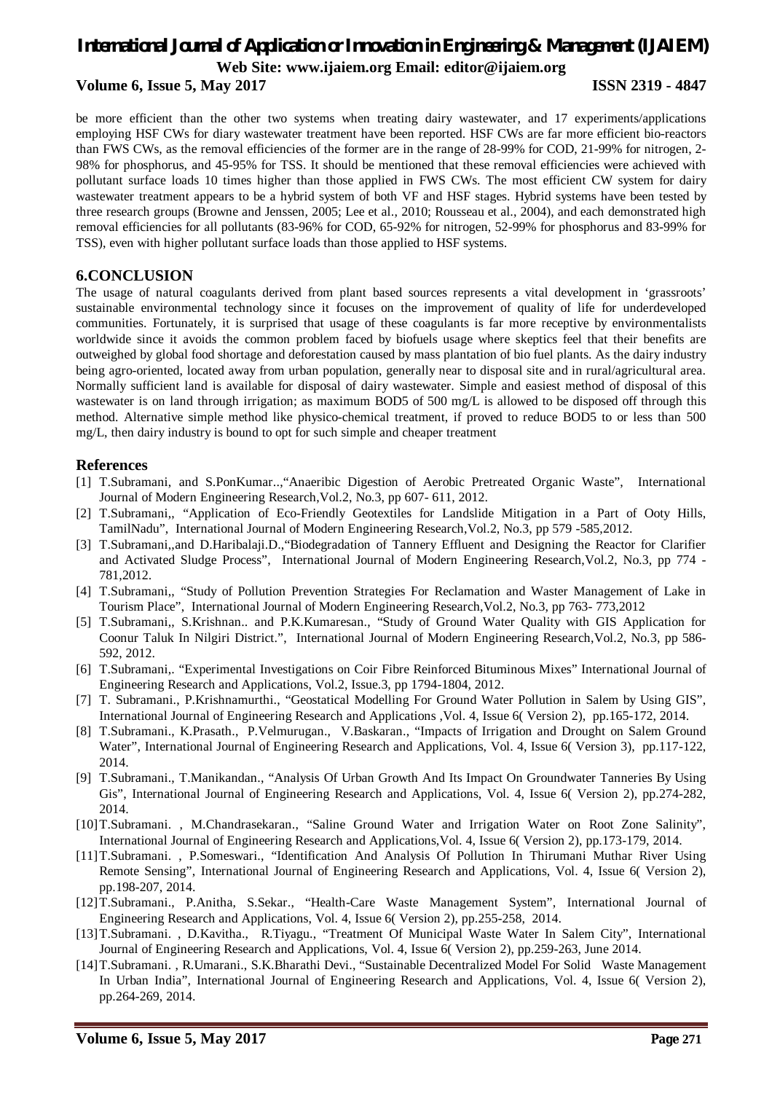#### **Volume 6, Issue 5, May 2017 ISSN 2319 - 4847**

be more efficient than the other two systems when treating dairy wastewater, and 17 experiments/applications employing HSF CWs for diary wastewater treatment have been reported. HSF CWs are far more efficient bio-reactors than FWS CWs, as the removal efficiencies of the former are in the range of 28-99% for COD, 21-99% for nitrogen, 2- 98% for phosphorus, and 45-95% for TSS. It should be mentioned that these removal efficiencies were achieved with pollutant surface loads 10 times higher than those applied in FWS CWs. The most efficient CW system for dairy wastewater treatment appears to be a hybrid system of both VF and HSF stages. Hybrid systems have been tested by three research groups (Browne and Jenssen, 2005; Lee et al., 2010; Rousseau et al., 2004), and each demonstrated high removal efficiencies for all pollutants (83-96% for COD, 65-92% for nitrogen, 52-99% for phosphorus and 83-99% for TSS), even with higher pollutant surface loads than those applied to HSF systems.

### **6.CONCLUSION**

The usage of natural coagulants derived from plant based sources represents a vital development in 'grassroots' sustainable environmental technology since it focuses on the improvement of quality of life for underdeveloped communities. Fortunately, it is surprised that usage of these coagulants is far more receptive by environmentalists worldwide since it avoids the common problem faced by biofuels usage where skeptics feel that their benefits are outweighed by global food shortage and deforestation caused by mass plantation of bio fuel plants. As the dairy industry being agro-oriented, located away from urban population, generally near to disposal site and in rural/agricultural area. Normally sufficient land is available for disposal of dairy wastewater. Simple and easiest method of disposal of this wastewater is on land through irrigation; as maximum BOD5 of 500 mg/L is allowed to be disposed off through this method. Alternative simple method like physico-chemical treatment, if proved to reduce BOD5 to or less than 500 mg/L, then dairy industry is bound to opt for such simple and cheaper treatment

### **References**

- [1] T.Subramani, and S.PonKumar..,"Anaeribic Digestion of Aerobic Pretreated Organic Waste", International Journal of Modern Engineering Research,Vol.2, No.3, pp 607- 611, 2012.
- [2] T.Subramani,, "Application of Eco-Friendly Geotextiles for Landslide Mitigation in a Part of Ooty Hills, TamilNadu", International Journal of Modern Engineering Research,Vol.2, No.3, pp 579 -585,2012.
- [3] T.Subramani,,and D.Haribalaji.D.,"Biodegradation of Tannery Effluent and Designing the Reactor for Clarifier and Activated Sludge Process", International Journal of Modern Engineering Research,Vol.2, No.3, pp 774 - 781,2012.
- [4] T.Subramani,, "Study of Pollution Prevention Strategies For Reclamation and Waster Management of Lake in Tourism Place", International Journal of Modern Engineering Research,Vol.2, No.3, pp 763- 773,2012
- [5] T.Subramani,, S.Krishnan.. and P.K.Kumaresan., "Study of Ground Water Quality with GIS Application for Coonur Taluk In Nilgiri District.", International Journal of Modern Engineering Research,Vol.2, No.3, pp 586- 592, 2012.
- [6] T.Subramani,. "Experimental Investigations on Coir Fibre Reinforced Bituminous Mixes" International Journal of Engineering Research and Applications, Vol.2, Issue.3, pp 1794-1804, 2012.
- [7] T. Subramani., P.Krishnamurthi., "Geostatical Modelling For Ground Water Pollution in Salem by Using GIS", International Journal of Engineering Research and Applications ,Vol. 4, Issue 6( Version 2), pp.165-172, 2014.
- [8] T.Subramani., K.Prasath., P.Velmurugan., V.Baskaran., "Impacts of Irrigation and Drought on Salem Ground Water", International Journal of Engineering Research and Applications, Vol. 4, Issue 6( Version 3), pp.117-122, 2014.
- [9] T.Subramani., T.Manikandan., "Analysis Of Urban Growth And Its Impact On Groundwater Tanneries By Using Gis", International Journal of Engineering Research and Applications, Vol. 4, Issue 6( Version 2), pp.274-282, 2014.
- [10]T.Subramani. , M.Chandrasekaran., "Saline Ground Water and Irrigation Water on Root Zone Salinity", International Journal of Engineering Research and Applications,Vol. 4, Issue 6( Version 2), pp.173-179, 2014.
- [11]T.Subramani. , P.Someswari., "Identification And Analysis Of Pollution In Thirumani Muthar River Using Remote Sensing", International Journal of Engineering Research and Applications, Vol. 4, Issue 6( Version 2), pp.198-207, 2014.
- [12]T.Subramani., P.Anitha, S.Sekar., "Health-Care Waste Management System", International Journal of Engineering Research and Applications, Vol. 4, Issue 6( Version 2), pp.255-258, 2014.
- [13]T.Subramani. , D.Kavitha., R.Tiyagu., "Treatment Of Municipal Waste Water In Salem City", International Journal of Engineering Research and Applications, Vol. 4, Issue 6( Version 2), pp.259-263, June 2014.
- [14]T.Subramani. , R.Umarani., S.K.Bharathi Devi., "Sustainable Decentralized Model For Solid Waste Management In Urban India", International Journal of Engineering Research and Applications, Vol. 4, Issue 6( Version 2), pp.264-269, 2014.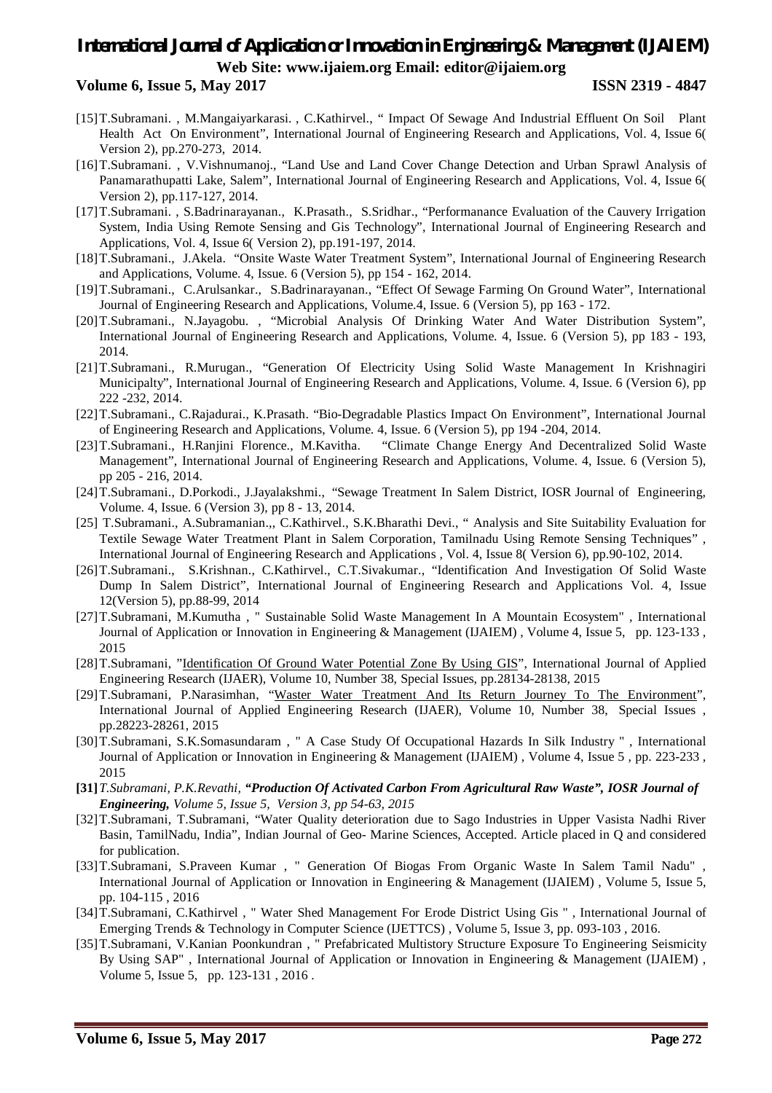#### **Volume 6, Issue 5, May 2017 ISSN 2319 - 4847**

- [15]T.Subramani. , M.Mangaiyarkarasi. , C.Kathirvel., " Impact Of Sewage And Industrial Effluent On Soil Plant Health Act On Environment", International Journal of Engineering Research and Applications, Vol. 4, Issue 6( Version 2), pp.270-273, 2014.
- [16]T.Subramani. , V.Vishnumanoj., "Land Use and Land Cover Change Detection and Urban Sprawl Analysis of Panamarathupatti Lake, Salem", International Journal of Engineering Research and Applications, Vol. 4, Issue 6( Version 2), pp.117-127, 2014.
- [17]T.Subramani. , S.Badrinarayanan., K.Prasath., S.Sridhar., "Performanance Evaluation of the Cauvery Irrigation System, India Using Remote Sensing and Gis Technology", International Journal of Engineering Research and Applications, Vol. 4, Issue 6( Version 2), pp.191-197, 2014.
- [18]T.Subramani., J.Akela. "Onsite Waste Water Treatment System", International Journal of Engineering Research and Applications, Volume. 4, Issue. 6 (Version 5), pp 154 - 162, 2014.
- [19]T.Subramani., C.Arulsankar., S.Badrinarayanan., "Effect Of Sewage Farming On Ground Water", International Journal of Engineering Research and Applications, Volume.4, Issue. 6 (Version 5), pp 163 - 172.
- [20]T.Subramani., N.Jayagobu. , "Microbial Analysis Of Drinking Water And Water Distribution System", International Journal of Engineering Research and Applications, Volume. 4, Issue. 6 (Version 5), pp 183 - 193, 2014.
- [21]T.Subramani., R.Murugan., "Generation Of Electricity Using Solid Waste Management In Krishnagiri Municipalty", International Journal of Engineering Research and Applications, Volume. 4, Issue. 6 (Version 6), pp 222 -232, 2014.
- [22]T.Subramani., C.Rajadurai., K.Prasath. "Bio-Degradable Plastics Impact On Environment", International Journal of Engineering Research and Applications, Volume. 4, Issue. 6 (Version 5), pp 194 -204, 2014.
- [23]T.Subramani., H.Ranjini Florence., M.Kavitha. "Climate Change Energy And Decentralized Solid Waste Management", International Journal of Engineering Research and Applications, Volume. 4, Issue. 6 (Version 5), pp 205 - 216, 2014.
- [24]T.Subramani., D.Porkodi., J.Jayalakshmi., "Sewage Treatment In Salem District, IOSR Journal of Engineering, Volume. 4, Issue. 6 (Version 3), pp 8 - 13, 2014.
- [25] T.Subramani., A.Subramanian.,, C.Kathirvel., S.K.Bharathi Devi., " Analysis and Site Suitability Evaluation for Textile Sewage Water Treatment Plant in Salem Corporation, Tamilnadu Using Remote Sensing Techniques" , International Journal of Engineering Research and Applications , Vol. 4, Issue 8( Version 6), pp.90-102, 2014.
- [26]T.Subramani., S.Krishnan., C.Kathirvel., C.T.Sivakumar., "Identification And Investigation Of Solid Waste Dump In Salem District", International Journal of Engineering Research and Applications Vol. 4, Issue 12(Version 5), pp.88-99, 2014
- [27]T.Subramani, M.Kumutha , " Sustainable Solid Waste Management In A Mountain Ecosystem" , International Journal of Application or Innovation in Engineering & Management (IJAIEM) , Volume 4, Issue 5, pp. 123-133 , 2015
- [28]T.Subramani, "Identification Of Ground Water Potential Zone By Using GIS", International Journal of Applied Engineering Research (IJAER), Volume 10, Number 38, Special Issues, pp.28134-28138, 2015
- [29]T.Subramani, P.Narasimhan, "Waster Water Treatment And Its Return Journey To The Environment", International Journal of Applied Engineering Research (IJAER), Volume 10, Number 38, Special Issues , pp.28223-28261, 2015
- [30]T.Subramani, S.K.Somasundaram , " A Case Study Of Occupational Hazards In Silk Industry " , International Journal of Application or Innovation in Engineering & Management (IJAIEM) , Volume 4, Issue 5 , pp. 223-233 , 2015
- **[31]***T.Subramani, P.K.Revathi, "Production Of Activated Carbon From Agricultural Raw Waste", IOSR Journal of Engineering, Volume 5, Issue 5, Version 3, pp 54-63, 2015*
- [32]T.Subramani, T.Subramani, "Water Quality deterioration due to Sago Industries in Upper Vasista Nadhi River Basin, TamilNadu, India", Indian Journal of Geo- Marine Sciences, Accepted. Article placed in Q and considered for publication.
- [33]T.Subramani, S.Praveen Kumar , " Generation Of Biogas From Organic Waste In Salem Tamil Nadu" , International Journal of Application or Innovation in Engineering & Management (IJAIEM) , Volume 5, Issue 5, pp. 104-115 , 2016
- [34]T.Subramani, C.Kathirvel , " Water Shed Management For Erode District Using Gis " , International Journal of Emerging Trends & Technology in Computer Science (IJETTCS) , Volume 5, Issue 3, pp. 093-103 , 2016.
- [35]T.Subramani, V.Kanian Poonkundran, " Prefabricated Multistory Structure Exposure To Engineering Seismicity By Using SAP" , International Journal of Application or Innovation in Engineering & Management (IJAIEM) , Volume 5, Issue 5, pp. 123-131 , 2016 .